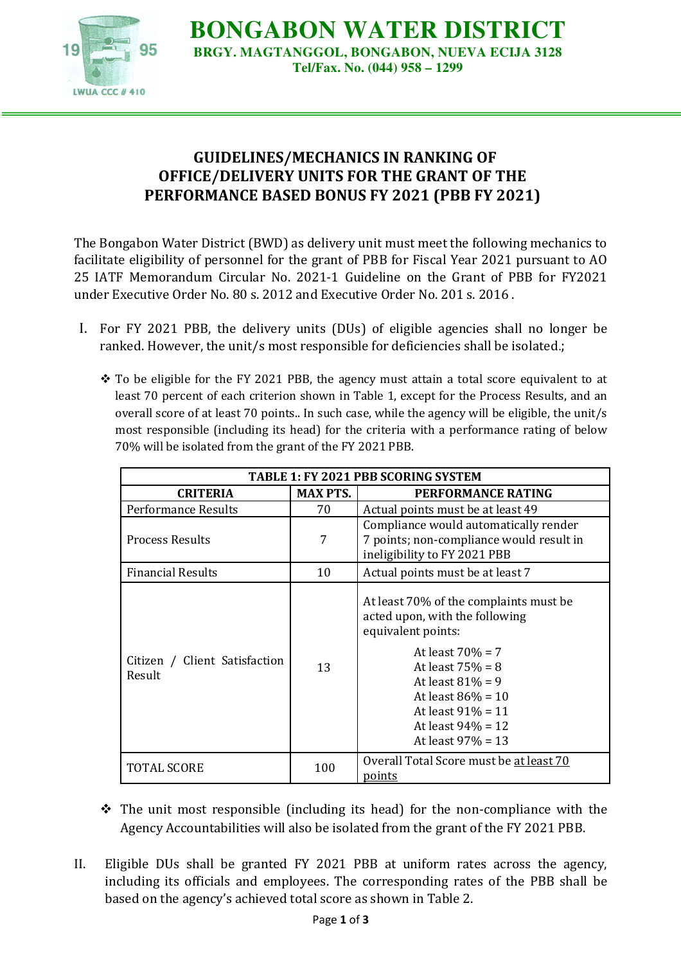

**BONGABON WATER DISTRICT BRGY. MAGTANGGOL, BONGABON, NUEVA ECIJA 3128 Tel/Fax. No. (044) 958 – 1299** 

## **GUIDELINES/MECHANICS IN RANKING OF OFFICE/DELIVERY UNITS FOR THE GRANT OF THE PERFORMANCE BASED BONUS FY 2021 (PBB FY 2021)**

The Bongabon Water District (BWD) as delivery unit must meet the following mechanics to facilitate eligibility of personnel for the grant of PBB for Fiscal Year 2021 pursuant to AO 25 IATF Memorandum Circular No. 2021-1 Guideline on the Grant of PBB for FY2021 under Executive Order No. 80 s. 2012 and Executive Order No. 201 s. 2016 .

- I. For FY 2021 PBB, the delivery units (DUs) of eligible agencies shall no longer be ranked. However, the unit/s most responsible for deficiencies shall be isolated.;
	- $\cdot$  To be eligible for the FY 2021 PBB, the agency must attain a total score equivalent to at least 70 percent of each criterion shown in Table 1, except for the Process Results, and an overall score of at least 70 points.. In such case, while the agency will be eligible, the unit/s most responsible (including its head) for the criteria with a performance rating of below 70% will be isolated from the grant of the FY 2021 PBB.

| <b>TABLE 1: FY 2021 PBB SCORING SYSTEM</b> |                 |                                                                                                                                                                                                                                                                   |  |
|--------------------------------------------|-----------------|-------------------------------------------------------------------------------------------------------------------------------------------------------------------------------------------------------------------------------------------------------------------|--|
| <b>CRITERIA</b>                            | <b>MAX PTS.</b> | PERFORMANCE RATING                                                                                                                                                                                                                                                |  |
| Performance Results                        | 70              | Actual points must be at least 49                                                                                                                                                                                                                                 |  |
| <b>Process Results</b>                     | 7               | Compliance would automatically render<br>7 points; non-compliance would result in<br>ineligibility to FY 2021 PBB                                                                                                                                                 |  |
| <b>Financial Results</b>                   | 10              | Actual points must be at least 7                                                                                                                                                                                                                                  |  |
| Citizen / Client Satisfaction<br>Result    | 13              | At least 70% of the complaints must be<br>acted upon, with the following<br>equivalent points:<br>At least $70% = 7$<br>At least $75% = 8$<br>At least $81\% = 9$<br>At least $86\% = 10$<br>At least $91\% = 11$<br>At least $94\% = 12$<br>At least $97\% = 13$ |  |
| TOTAL SCORE                                | 100             | Overall Total Score must be at least 70<br>points                                                                                                                                                                                                                 |  |

- $\div$  The unit most responsible (including its head) for the non-compliance with the Agency Accountabilities will also be isolated from the grant of the FY 2021 PBB.
- II. Eligible DUs shall be granted FY 2021 PBB at uniform rates across the agency, including its officials and employees. The corresponding rates of the PBB shall be based on the agency's achieved total score as shown in Table 2.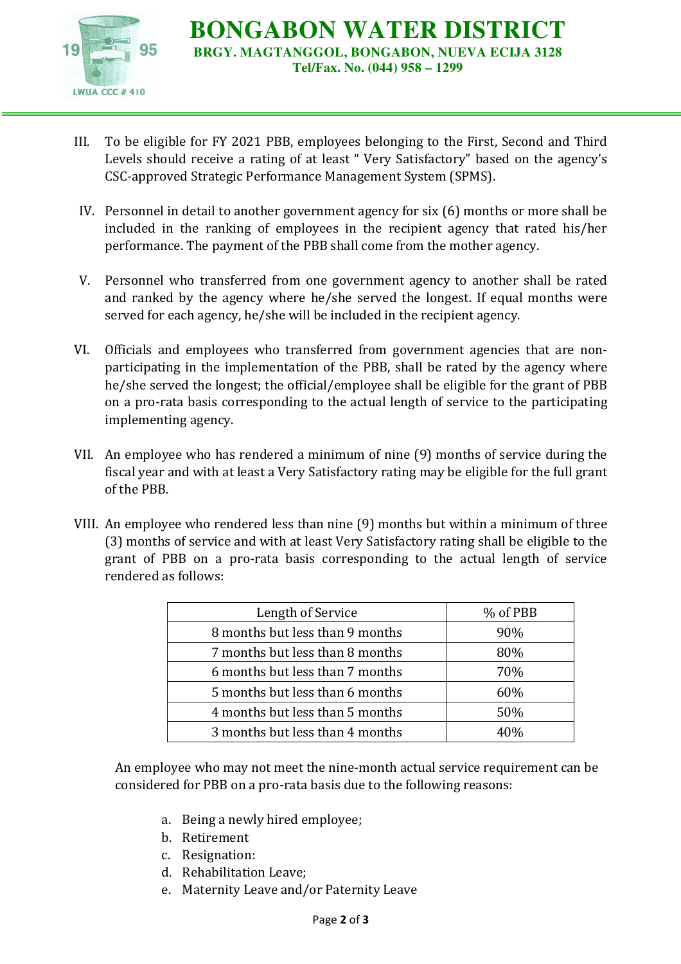

**BONGABON WATER DISTRICT BRGY. MAGTANGGOL, BONGABON, NUEVA ECIJA 3128 Tel/Fax. No. (044) 958 – 1299** 

- III. To be eligible for FY 2021 PBB, employees belonging to the First, Second and Third Levels should receive a rating of at least " Very Satisfactory" based on the agency's CSC-approved Strategic Performance Management System (SPMS).
- IV. Personnel in detail to another government agency for six (6) months or more shall be included in the ranking of employees in the recipient agency that rated his/her performance. The payment of the PBB shall come from the mother agency.
- V. Personnel who transferred from one government agency to another shall be rated and ranked by the agency where he/she served the longest. If equal months were served for each agency, he/she will be included in the recipient agency.
- VI. Officials and employees who transferred from government agencies that are nonparticipating in the implementation of the PBB, shall be rated by the agency where he/she served the longest; the official/employee shall be eligible for the grant of PBB on a pro-rata basis corresponding to the actual length of service to the participating implementing agency.
- VII. An employee who has rendered a minimum of nine (9) months of service during the fiscal year and with at least a Very Satisfactory rating may be eligible for the full grant of the PBB.
- VIII. An employee who rendered less than nine (9) months but within a minimum of three (3) months of service and with at least Very Satisfactory rating shall be eligible to the grant of PBB on a pro-rata basis corresponding to the actual length of service rendered as follows:

| Length of Service               | % of PBB |
|---------------------------------|----------|
| 8 months but less than 9 months | 90%      |
| 7 months but less than 8 months | 80%      |
| 6 months but less than 7 months | 70%      |
| 5 months but less than 6 months | 60%      |
| 4 months but less than 5 months | 50%      |
| 3 months but less than 4 months |          |

An employee who may not meet the nine-month actual service requirement can be considered for PBB on a pro-rata basis due to the following reasons:

- a. Being a newly hired employee;
- b. Retirement
- c. Resignation:
- d. Rehabilitation Leave;
- e. Maternity Leave and/or Paternity Leave